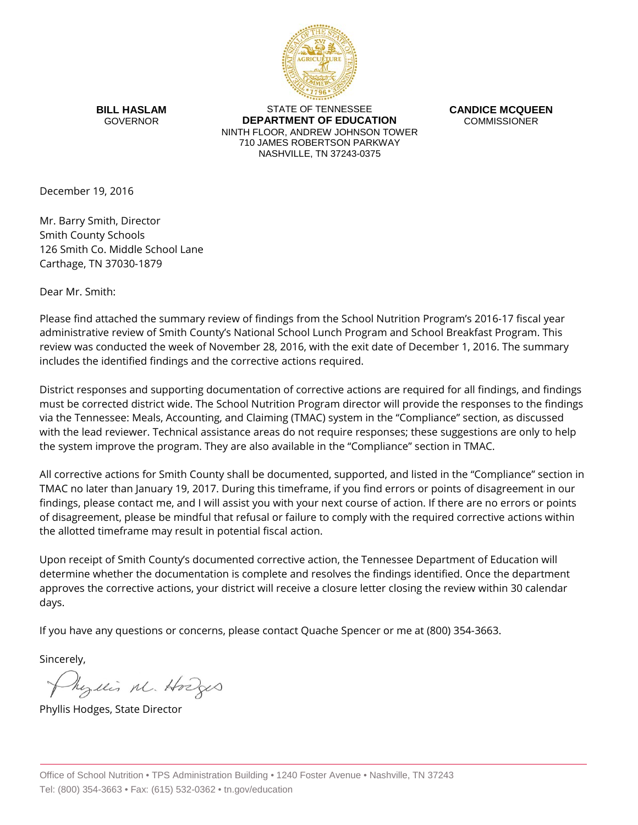

**BILL HASLAM** GOVERNOR

STATE OF TENNESSEE **DEPARTMENT OF EDUCATION** NINTH FLOOR, ANDREW JOHNSON TOWER 710 JAMES ROBERTSON PARKWAY NASHVILLE, TN 37243-0375

**CANDICE MCQUEEN** COMMISSIONER

December 19, 2016

Mr. Barry Smith, Director Smith County Schools 126 Smith Co. Middle School Lane Carthage, TN 37030-1879

Dear Mr. Smith:

Please find attached the summary review of findings from the School Nutrition Program's 2016-17 fiscal year administrative review of Smith County's National School Lunch Program and School Breakfast Program. This review was conducted the week of November 28, 2016, with the exit date of December 1, 2016. The summary includes the identified findings and the corrective actions required.

District responses and supporting documentation of corrective actions are required for all findings, and findings must be corrected district wide. The School Nutrition Program director will provide the responses to the findings via the Tennessee: Meals, Accounting, and Claiming (TMAC) system in the "Compliance" section, as discussed with the lead reviewer. Technical assistance areas do not require responses; these suggestions are only to help the system improve the program. They are also available in the "Compliance" section in TMAC.

All corrective actions for Smith County shall be documented, supported, and listed in the "Compliance" section in TMAC no later than January 19, 2017. During this timeframe, if you find errors or points of disagreement in our findings, please contact me, and I will assist you with your next course of action. If there are no errors or points of disagreement, please be mindful that refusal or failure to comply with the required corrective actions within the allotted timeframe may result in potential fiscal action.

Upon receipt of Smith County's documented corrective action, the Tennessee Department of Education will determine whether the documentation is complete and resolves the findings identified. Once the department approves the corrective actions, your district will receive a closure letter closing the review within 30 calendar days.

If you have any questions or concerns, please contact Quache Spencer or me at (800) 354-3663.

Sincerely,

Myllis M. Hodges

Phyllis Hodges, State Director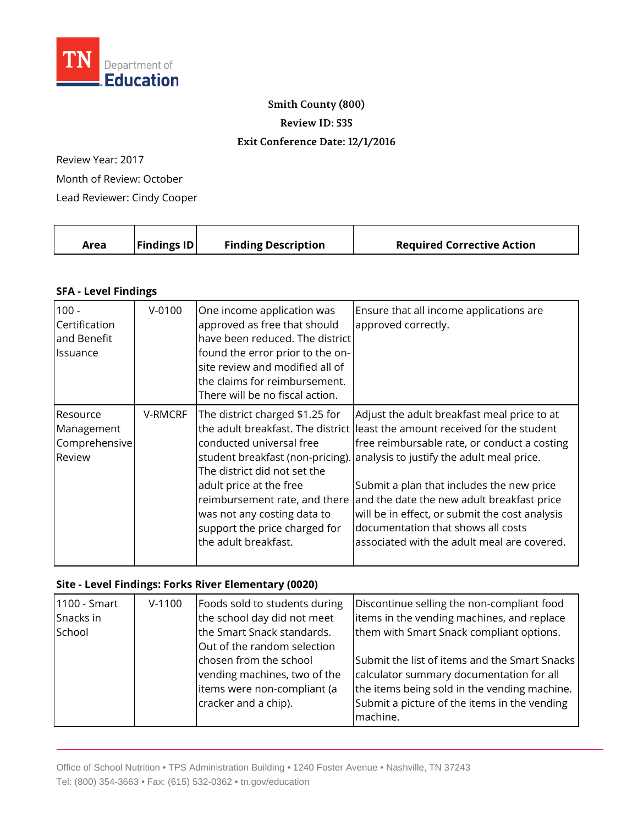

### **Smith County (800)**

**Review ID: 535**

### **Exit Conference Date: 12/1/2016**

Review Year: 2017

Month of Review: October

Lead Reviewer: Cindy Cooper

| Area | <b>Findings ID</b> | <b>Finding Description</b> | <b>Required Corrective Action</b> |
|------|--------------------|----------------------------|-----------------------------------|
|      |                    |                            |                                   |

## **SFA - Level Findings**

| $100 -$<br>Certification<br>and Benefit<br><b>I</b> lssuance | $V-0100$ | One income application was<br>approved as free that should<br>have been reduced. The district<br>found the error prior to the on-<br>site review and modified all of<br>the claims for reimbursement.<br>There will be no fiscal action.                                            | Ensure that all income applications are<br>approved correctly.                                                                                                                                                                                                                                                                                                                                                                                             |
|--------------------------------------------------------------|----------|-------------------------------------------------------------------------------------------------------------------------------------------------------------------------------------------------------------------------------------------------------------------------------------|------------------------------------------------------------------------------------------------------------------------------------------------------------------------------------------------------------------------------------------------------------------------------------------------------------------------------------------------------------------------------------------------------------------------------------------------------------|
| Resource<br>Management<br>Comprehensive<br>Review            | V-RMCRF  | The district charged \$1.25 for<br>conducted universal free<br>student breakfast (non-pricing).<br>The district did not set the<br>adult price at the free<br>reimbursement rate, and there<br>was not any costing data to<br>support the price charged for<br>the adult breakfast. | Adjust the adult breakfast meal price to at<br>the adult breakfast. The district lleast the amount received for the student<br>free reimbursable rate, or conduct a costing<br>analysis to justify the adult meal price.<br>Submit a plan that includes the new price<br>and the date the new adult breakfast price<br>will be in effect, or submit the cost analysis<br>documentation that shows all costs<br>associated with the adult meal are covered. |

### **Site - Level Findings: Forks River Elementary (0020)**

| 1100 - Smart | $V-1100$ | Foods sold to students during | Discontinue selling the non-compliant food    |
|--------------|----------|-------------------------------|-----------------------------------------------|
| Snacks in    |          | the school day did not meet   | litems in the vending machines, and replace   |
| School       |          | the Smart Snack standards.    | them with Smart Snack compliant options.      |
|              |          | Out of the random selection   |                                               |
|              |          | chosen from the school        | Submit the list of items and the Smart Snacks |
|              |          | vending machines, two of the  | calculator summary documentation for all      |
|              |          | items were non-compliant (a   | the items being sold in the vending machine.  |
|              |          | cracker and a chip).          | Submit a picture of the items in the vending  |
|              |          |                               | machine.                                      |